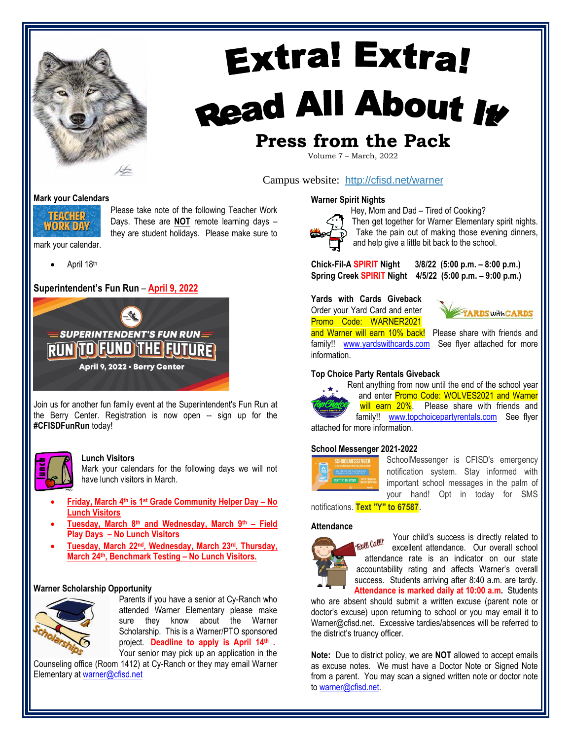

## **Extra! Extra!** Read All About It **Press from the Pack**

## Volume 7 – March, 2022

Campus website: <http://cfisd.net/warner>

#### **Mark your Calendars**



Please take note of the following Teacher Work Days. These are **NOT** remote learning days – they are student holidays. Please make sure to

- mark your calendar.
	- April 18th

#### **Superintendent's Fun Run** – **April 9, 2022**



Join us for another fun family event at the Superintendent's Fun Run at the Berry Center. Registration is now open -- sign up for the **#CFISDFunRun** today!



#### **Lunch Visitors**

Mark your calendars for the following days we will not have lunch visitors in March.

- **Friday, March 4th is 1 st Grade Community Helper Day – No Lunch Visitors**
- **Tuesday, March 8th and Wednesday, March 9th – Field Play Days – No Lunch Visitors**
- **Tuesday, March 22nd, Wednesday, March 23rd, Thursday, March 24th, Benchmark Testing – No Lunch Visitors.**

#### **Warner Scholarship Opportunity**



Parents if you have a senior at Cy-Ranch who attended Warner Elementary please make sure they know about the Warner Scholarship. This is a Warner/PTO sponsored project. **Deadline to apply is April 14<sup>th</sup>.** 

Your senior may pick up an application in the Counseling office (Room 1412) at Cy-Ranch or they may email Warner Elementary at [warner@cfisd.net](mailto:warner@cfisd.net)

#### **Warner Spirit Nights**



Hey, Mom and Dad – Tired of Cooking? Then get together for Warner Elementary spirit nights. Take the pain out of making those evening dinners, and help give a little bit back to the school.

**Chick-Fil-A SPIRIT Night 3/8/22 (5:00 p.m. – 8:00 p.m.) Spring Creek SPIRIT Night 4/5/22 (5:00 p.m. – 9:00 p.m.)**

**Yards with Cards Giveback** Order your Yard Card and enter Promo Code: WARNER2021



and Warner will earn 10% back! Please share with friends and family!! [www.yardswithcards.com](http://www.yardswithcards.com/) See flyer attached for more information.

#### **Top Choice Party Rentals Giveback**



Rent anything from now until the end of the school year and enter Promo Code: WOLVES2021 and Warner will earn 20%. Please share with friends and family!! [www.topchoicepartyrentals.com](http://www.topchoicepartyrentals.com/) See flyer

attached for more information.

#### **School Messenger 2021-2022**



SchoolMessenger is CFISD's emergency notification system. Stay informed with important school messages in the palm of your hand! Opt in today for SMS

notifications. **Text "Y" to 67587**.

#### **Attendance**



Your child's success is directly related to Roll Call excellent attendance. Our overall school attendance rate is an indicator on our state accountability rating and affects Warner's overall success. Students arriving after 8:40 a.m. are tardy. **Attendance is marked daily at 10:00 a.m.** Students

who are absent should submit a written excuse (parent note or doctor's excuse) upon returning to school or you may email it to Warner@cfisd.net. Excessive tardies/absences will be referred to the district's truancy officer.

**Note:** Due to district policy, we are **NOT** allowed to accept emails as excuse notes. We must have a Doctor Note or Signed Note from a parent. You may scan a signed written note or doctor note to [warner@cfisd.net.](mailto:warner@cfisd.net)